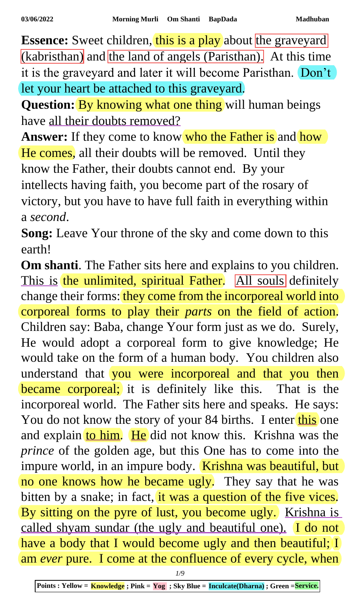**Essence:** Sweet children, this is a play about the graveyard (kabristhan) and the land of angels (Paristhan). At this time it is the graveyard and later it will become Paristhan. Don't let your heart be attached to this graveyard.

**Question:** By knowing what one thing will human beings have all their doubts removed?

**Answer:** If they come to know who the Father is and how He comes, all their doubts will be removed. Until they know the Father, their doubts cannot end. By your

intellects having faith, you become part of the rosary of victory, but you have to have full faith in everything within a *second*.

**Song:** Leave Your throne of the sky and come down to this earth!

**Om shanti**. The Father sits here and explains to you children. This is the unlimited, spiritual Father. All souls definitely change their forms: they come from the incorporeal world into corporeal forms to play their *parts* on the field of action. Children say: Baba, change Your form just as we do. Surely, He would adopt a corporeal form to give knowledge; He would take on the form of a human body. You children also understand that you were incorporeal and that you then became corporeal; it is definitely like this. That is the incorporeal world. The Father sits here and speaks. He says: You do not know the story of your 84 births. I enter this one and explain to him. He did not know this. Krishna was the *prince* of the golden age, but this One has to come into the impure world, in an impure body. Krishna was beautiful, but no one knows how he became ugly. They say that he was bitten by a snake; in fact, it was a question of the five vices. By sitting on the pyre of lust, you become ugly. Krishna is called shyam sundar (the ugly and beautiful one). I do not have a body that I would become ugly and then beautiful; I am *ever* pure. I come at the confluence of every cycle, when

*1/9*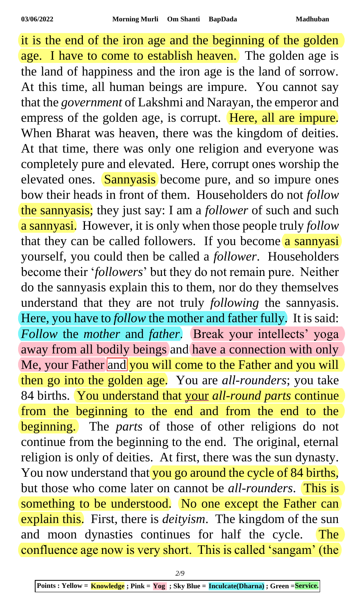it is the end of the iron age and the beginning of the golden age. I have to come to establish heaven. The golden age is the land of happiness and the iron age is the land of sorrow. At this time, all human beings are impure. You cannot say that the *government* of Lakshmi and Narayan, the emperor and empress of the golden age, is corrupt. Here, all are impure. When Bharat was heaven, there was the kingdom of deities. At that time, there was only one religion and everyone was completely pure and elevated. Here, corrupt ones worship the elevated ones. Sannyasis become pure, and so impure ones bow their heads in front of them. Householders do not *follow* the sannyasis; they just say: I am a *follower* of such and such a sannyasi. However, it is only when those people truly *follow* that they can be called followers. If you become a sannyasi yourself, you could then be called a *follower*. Householders become their '*followers*' but they do not remain pure. Neither do the sannyasis explain this to them, nor do they themselves understand that they are not truly *following* the sannyasis. Here, you have to *follow* the mother and father fully. It is said: *Follow* the *mother* and *father*. Break your intellects' yoga away from all bodily beings and have a connection with only Me, your Father and you will come to the Father and you will then go into the golden age. You are *all-rounders*; you take 84 births. You understand that your *all-round parts* continue from the beginning to the end and from the end to the beginning. The *parts* of those of other religions do not continue from the beginning to the end. The original, eternal religion is only of deities. At first, there was the sun dynasty. You now understand that you go around the cycle of 84 births, but those who come later on cannot be *all*-*rounders*. This is something to be understood. No one except the Father can explain this. First, there is *deityism*. The kingdom of the sun and moon dynasties continues for half the cycle. The confluence age now is very short. This is called 'sangam' (the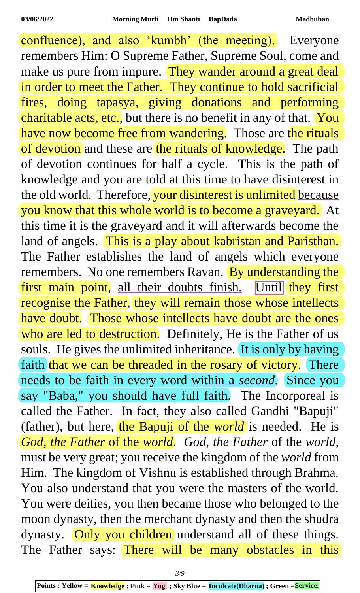confluence), and also 'kumbh' (the meeting). Everyone remembers Him: O Supreme Father, Supreme Soul, come and make us pure from impure. They wander around a great deal in order to meet the Father. They continue to hold sacrificial fires, doing tapasya, giving donations and performing charitable acts, etc., but there is no benefit in any of that. You have now become free from wandering. Those are the rituals of devotion and these are the rituals of knowledge. The path of devotion continues for half a cycle. This is the path of knowledge and you are told at this time to have disinterest in the old world. Therefore, your disinterest is unlimited because you know that this whole world is to become a graveyard. At this time it is the graveyard and it will afterwards become the land of angels. This is a play about kabristan and Paristhan. The Father establishes the land of angels which everyone remembers. No one remembers Ravan. By understanding the first main point, all their doubts finish. Until they first recognise the Father, they will remain those whose intellects have doubt. Those whose intellects have doubt are the ones who are led to destruction. Definitely, He is the Father of us souls. He gives the unlimited inheritance. It is only by having faith that we can be threaded in the rosary of victory. There needs to be faith in every word within a *second*. Since you say "Baba," you should have full faith. The Incorporeal is called the Father. In fact, they also called Gandhi "Bapuji" (father), but here, the Bapuji of the *world* is needed. He is *God, the Father* of the *world*. *God, the Father* of the *world*, must be very great; you receive the kingdom of the *world* from Him. The kingdom of Vishnu is established through Brahma. You also understand that you were the masters of the world. You were deities, you then became those who belonged to the moon dynasty, then the merchant dynasty and then the shudra dynasty. Only you children understand all of these things. The Father says: There will be many obstacles in this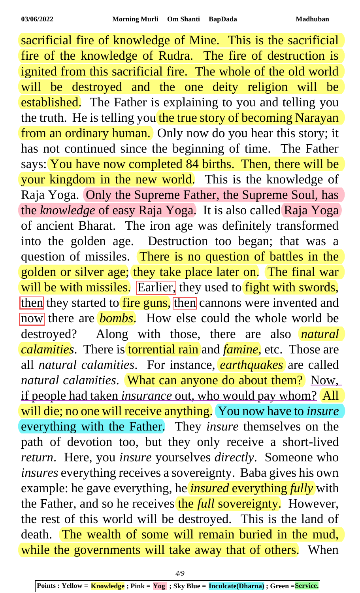sacrificial fire of knowledge of Mine. This is the sacrificial fire of the knowledge of Rudra. The fire of destruction is ignited from this sacrificial fire. The whole of the old world will be destroyed and the one deity religion will be established. The Father is explaining to you and telling you the truth. He is telling you the true story of becoming Narayan from an ordinary human. Only now do you hear this story; it has not continued since the beginning of time. The Father says: You have now completed 84 births. Then, there will be your kingdom in the new world. This is the knowledge of Raja Yoga. Only the Supreme Father, the Supreme Soul, has the *knowledge* of easy Raja Yoga. It is also called Raja Yoga of ancient Bharat. The iron age was definitely transformed into the golden age. Destruction too began; that was a question of missiles. There is no question of battles in the golden or silver age; they take place later on. The final war will be with missiles. Earlier, they used to fight with swords, then they started to fire guns, then cannons were invented and now there are **bombs**. How else could the whole world be destroyed? Along with those, there are also *natural calamities*. There is torrential rain and *famine,* etc. Those are all *natural calamities*. For instance, *earthquakes* are called *natural calamities*. What can anyone do about them? Now, if people had taken *insurance* out, who would pay whom? All will die; no one will receive anything. You now have to *insure* everything with the Father. They *insure* themselves on the path of devotion too, but they only receive a short-lived *return*. Here, you *insure* yourselves *directly*. Someone who *insures* everything receives a sovereignty. Baba gives his own example: he gave everything, he *insured* everything *fully* with the Father, and so he receives the *full* sovereignty. However, the rest of this world will be destroyed. This is the land of death. The wealth of some will remain buried in the mud, while the governments will take away that of others. When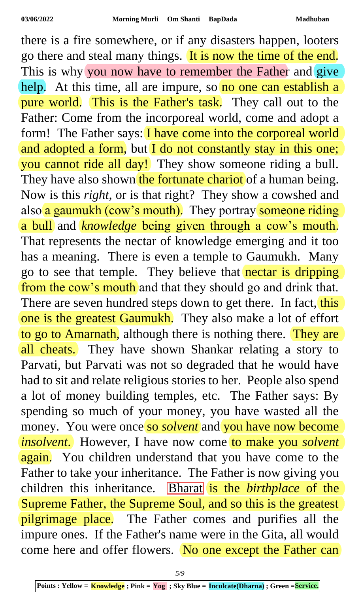there is a fire somewhere, or if any disasters happen, looters go there and steal many things. It is now the time of the end. This is why you now have to remember the Father and give help. At this time, all are impure, so no one can establish a pure world. This is the Father's task. They call out to the Father: Come from the incorporeal world, come and adopt a form! The Father says: I have come into the corporeal world and adopted a form, but I do not constantly stay in this one; you cannot ride all day! They show someone riding a bull. They have also shown the fortunate chariot of a human being. Now is this *right*, or is that right? They show a cowshed and also a gaumukh (cow's mouth). They portray someone riding a bull and *knowledge* being given through a cow's mouth. That represents the nectar of knowledge emerging and it too has a meaning. There is even a temple to Gaumukh. Many go to see that temple. They believe that nectar is dripping from the cow's mouth and that they should go and drink that. There are seven hundred steps down to get there. In fact, this one is the greatest Gaumukh. They also make a lot of effort to go to Amarnath, although there is nothing there. They are all cheats. They have shown Shankar relating a story to Parvati, but Parvati was not so degraded that he would have had to sit and relate religious stories to her. People also spend a lot of money building temples, etc. The Father says: By spending so much of your money, you have wasted all the money. You were once so *solvent* and you have now become *insolvent*. However, I have now come to make you *solvent* again. You children understand that you have come to the Father to take your inheritance. The Father is now giving you children this inheritance. **Bharat** is the *birthplace* of the Supreme Father, the Supreme Soul, and so this is the greatest pilgrimage place. The Father comes and purifies all the impure ones. If the Father's name were in the Gita, all would come here and offer flowers. No one except the Father can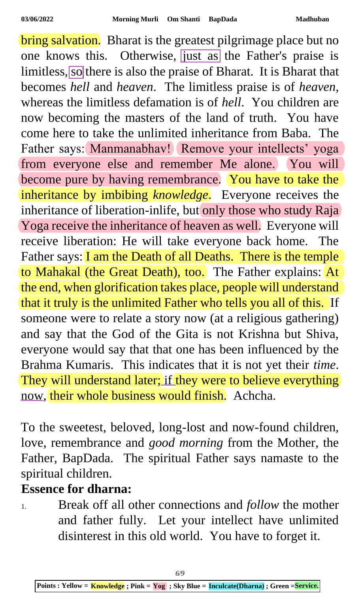bring salvation. Bharat is the greatest pilgrimage place but no one knows this. Otherwise, just as the Father's praise is limitless, so there is also the praise of Bharat. It is Bharat that becomes *hell* and *heaven*. The limitless praise is of *heaven*, whereas the limitless defamation is of *hell*. You children are now becoming the masters of the land of truth. You have come here to take the unlimited inheritance from Baba. The Father says: Manmanabhav! Remove your intellects' yoga from everyone else and remember Me alone. You will become pure by having remembrance. You have to take the inheritance by imbibing *knowledge*. Everyone receives the inheritance of liberation-inlife, but only those who study Raja Yoga receive the inheritance of heaven as well. Everyone will receive liberation: He will take everyone back home. The Father says: I am the Death of all Deaths. There is the temple to Mahakal (the Great Death), too. The Father explains: At the end, when glorification takes place, people will understand that it truly is the unlimited Father who tells you all of this. If someone were to relate a story now (at a religious gathering) and say that the God of the Gita is not Krishna but Shiva, everyone would say that that one has been influenced by the Brahma Kumaris. This indicates that it is not yet their *time*. They will understand later; if they were to believe everything now, their whole business would finish. Achcha.

To the sweetest, beloved, long-lost and now-found children, love, remembrance and *good morning* from the Mother, the Father, BapDada. The spiritual Father says namaste to the spiritual children.

## **Essence for dharna:**

1. Break off all other connections and *follow* the mother and father fully. Let your intellect have unlimited disinterest in this old world. You have to forget it.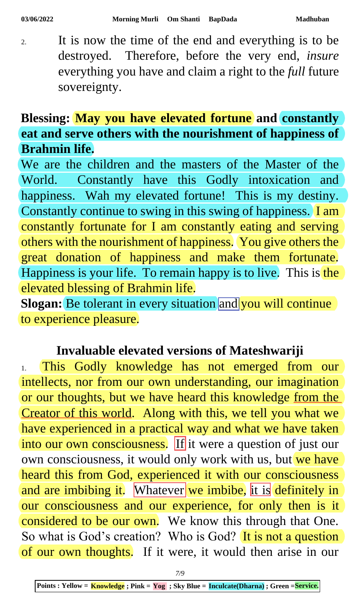2. It is now the time of the end and everything is to be destroyed. Therefore, before the very end, *insure* everything you have and claim a right to the *full* future sovereignty.

## **Blessing: May you have elevated fortune and constantly eat and serve others with the nourishment of happiness of Brahmin life.**

We are the children and the masters of the Master of the World. Constantly have this Godly intoxication and happiness. Wah my elevated fortune! This is my destiny. Constantly continue to swing in this swing of happiness. I am constantly fortunate for I am constantly eating and serving others with the nourishment of happiness. You give others the great donation of happiness and make them fortunate. Happiness is your life. To remain happy is to live. This is the elevated blessing of Brahmin life.

**Slogan:** Be tolerant in every situation and you will continue to experience pleasure.

## **Invaluable elevated versions of Mateshwariji**

1. This Godly knowledge has not emerged from our intellects, nor from our own understanding, our imagination or our thoughts, but we have heard this knowledge from the Creator of this world. Along with this, we tell you what we have experienced in a practical way and what we have taken into our own consciousness. If it were a question of just our own consciousness, it would only work with us, but we have heard this from God, experienced it with our consciousness and are imbibing it. Whatever we imbibe, it is definitely in our consciousness and our experience, for only then is it considered to be our own. We know this through that One. So what is God's creation? Who is God? It is not a question of our own thoughts. If it were, it would then arise in our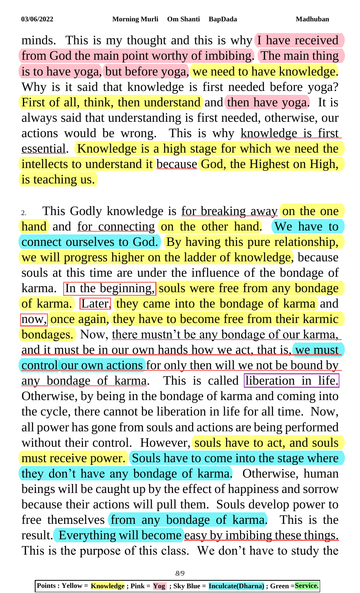minds. This is my thought and this is why I have received from God the main point worthy of imbibing. The main thing is to have yoga, but before yoga, we need to have knowledge. Why is it said that knowledge is first needed before yoga? First of all, think, then understand and then have yoga. It is always said that understanding is first needed, otherwise, our actions would be wrong. This is why knowledge is first essential. Knowledge is a high stage for which we need the intellects to understand it because God, the Highest on High, is teaching us.

2. This Godly knowledge is for breaking away on the one hand and for connecting on the other hand. We have to connect ourselves to God. By having this pure relationship, we will progress higher on the ladder of knowledge, because souls at this time are under the influence of the bondage of karma. In the beginning, souls were free from any bondage of karma. Later, they came into the bondage of karma and now, once again, they have to become free from their karmic bondages. Now, there mustn't be any bondage of our karma, and it must be in our own hands how we act, that is, we must control our own actions for only then will we not be bound by any bondage of karma. This is called liberation in life. Otherwise, by being in the bondage of karma and coming into the cycle, there cannot be liberation in life for all time. Now, all power has gone from souls and actions are being performed without their control. However, souls have to act, and souls must receive power. Souls have to come into the stage where they don't have any bondage of karma. Otherwise, human beings will be caught up by the effect of happiness and sorrow because their actions will pull them. Souls develop power to free themselves from any bondage of karma. This is the result. Everything will become easy by imbibing these things. This is the purpose of this class. We don't have to study the

*8/9*